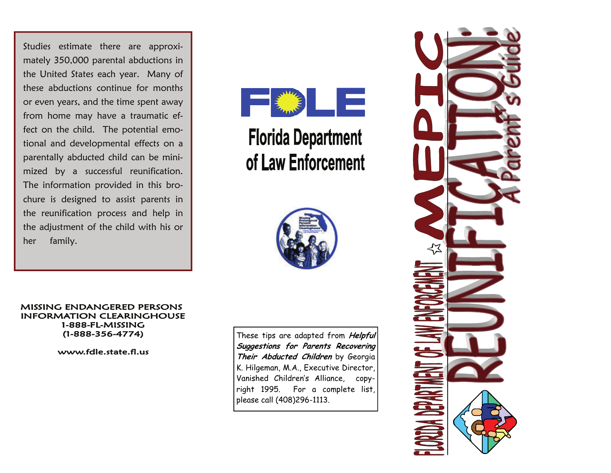Studies estimate there are approximately 350,000 parental abductions in the United States each year. Many of these abductions continue for months or even years, and the time spent away from home may have a traumatic effect on the child. The potential emotional and developmental effects on a parentally abducted child can be minimized by a successful reunification. The information provided in this brochure is designed to assist parents in the reunification process and help in the adjustment of the child with his or her family.



## **Florida Department** of Law Enforcement



**MISSING ENDANGERED PERSONS INFORMATION CLEARINGHOUSE** 1-888-FL-MISSING  $(1-888-356-4774)$ 

www.fdle.state.fl.us

These tips are adapted from **Helpful Suggestions for Parents Recovering Their Abducted Children** by Georgia K. Hilgeman, M.A., Executive Director, Vanished Children's Alliance, copyright 1995. For a complete list, please call (408)296-1113.